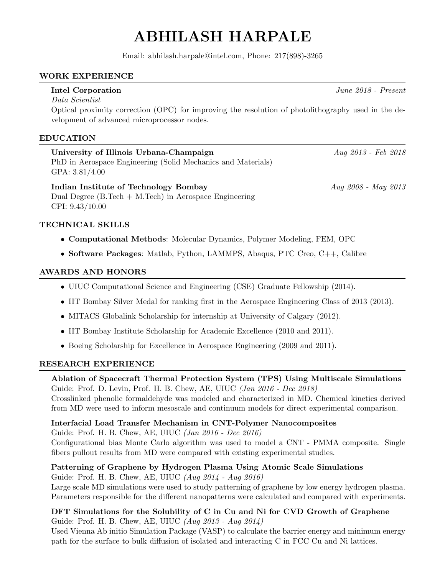# ABHILASH HARPALE

Email: abhilash.harpale@intel.com, Phone: 217(898)-3265

### WORK EXPERIENCE

Data Scientist Optical proximity correction (OPC) for improving the resolution of photolithography used in the development of advanced microprocessor nodes.

### EDUCATION

University of Illinois Urbana-Champaign  $\begin{array}{c} \text{Any } 2013 \text{ - } Feb \text{ } 2018 \\ \text{Equation 2013 - } \text{[Fe]} \end{array}$ PhD in Aerospace Engineering (Solid Mechanics and Materials) GPA: 3.81/4.00

Indian Institute of Technology Bombay Aug 2008 - May 2013 Dual Degree  $(B.Tech + M.Tech)$  in Aerospace Engineering CPI: 9.43/10.00

#### TECHNICAL SKILLS

- Computational Methods: Molecular Dynamics, Polymer Modeling, FEM, OPC
- Software Packages: Matlab, Python, LAMMPS, Abaqus, PTC Creo, C++, Calibre

#### AWARDS AND HONORS

- UIUC Computational Science and Engineering (CSE) Graduate Fellowship (2014).
- IIT Bombay Silver Medal for ranking first in the Aerospace Engineering Class of 2013 (2013).
- MITACS Globalink Scholarship for internship at University of Calgary (2012).
- IIT Bombay Institute Scholarship for Academic Excellence (2010 and 2011).
- Boeing Scholarship for Excellence in Aerospace Engineering (2009 and 2011).

#### RESEARCH EXPERIENCE

## Ablation of Spacecraft Thermal Protection System (TPS) Using Multiscale Simulations

Guide: Prof. D. Levin, Prof. H. B. Chew, AE, UIUC (Jan 2016 - Dec 2018) Crosslinked phenolic formaldehyde was modeled and characterized in MD. Chemical kinetics derived from MD were used to inform mesoscale and continuum models for direct experimental comparison.

#### Interfacial Load Transfer Mechanism in CNT-Polymer Nanocomposites

Guide: Prof. H. B. Chew, AE, UIUC (Jan 2016 - Dec 2016)

Configurational bias Monte Carlo algorithm was used to model a CNT - PMMA composite. Single fibers pullout results from MD were compared with existing experimental studies.

#### Patterning of Graphene by Hydrogen Plasma Using Atomic Scale Simulations

Guide: Prof. H. B. Chew, AE, UIUC (Aug 2014 - Aug 2016)

Large scale MD simulations were used to study patterning of graphene by low energy hydrogen plasma. Parameters responsible for the different nanopatterns were calculated and compared with experiments.

#### DFT Simulations for the Solubility of C in Cu and Ni for CVD Growth of Graphene Guide: Prof. H. B. Chew, AE, UIUC (Aug 2013 - Aug 2014)

Used Vienna Ab initio Simulation Package (VASP) to calculate the barrier energy and minimum energy path for the surface to bulk diffusion of isolated and interacting C in FCC Cu and Ni lattices.

Intel Corporation June 2018 - Present